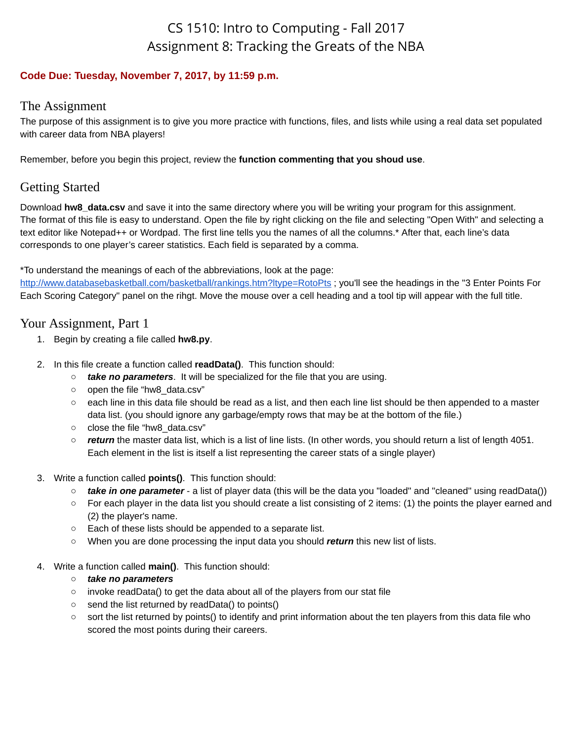# CS 1510: Intro to Computing - Fall 2017 Assignment 8: Tracking the Greats of the NBA

#### **Code Due: Tuesday, November 7, 2017, by 11:59 p.m.**

## The Assignment

The purpose of this assignment is to give you more practice with functions, files, and lists while using a real data set populated with career data from NBA players!

Remember, before you begin this project, review the **function commenting that you shoud use**.

# Getting Started

Download **hw8** data.csv and save it into the same directory where you will be writing your program for this assignment. The format of this file is easy to understand. Open the file by right clicking on the file and selecting "Open With" and selecting a text editor like Notepad++ or Wordpad. The first line tells you the names of all the columns.\* After that, each line's data corresponds to one player's career statistics. Each field is separated by a comma.

\*To understand the meanings of each of the abbreviations, look at the page:

<http://www.databasebasketball.com/basketball/rankings.htm?ltype=RotoPts> ; you'll see the headings in the "3 Enter Points For Each Scoring Category" panel on the rihgt. Move the mouse over a cell heading and a tool tip will appear with the full title.

# Your Assignment, Part 1

- 1. Begin by creating a file called **hw8.py**.
- 2. In this file create a function called **readData()**. This function should:
	- *take no parameters*. It will be specialized for the file that you are using.
	- open the file "hw8\_data.csv"
	- each line in this data file should be read as a list, and then each line list should be then appended to a master data list. (you should ignore any garbage/empty rows that may be at the bottom of the file.)
	- close the file "hw8\_data.csv"
	- *return* the master data list, which is a list of line lists. (In other words, you should return a list of length 4051. Each element in the list is itself a list representing the career stats of a single player)
- 3. Write a function called **points()**. This function should:
	- *take in one parameter* a list of player data (this will be the data you "loaded" and "cleaned" using readData())
	- For each player in the data list you should create a list consisting of 2 items: (1) the points the player earned and (2) the player's name.
	- Each of these lists should be appended to a separate list.
	- When you are done processing the input data you should *return* this new list of lists.
- 4. Write a function called **main()**. This function should:

#### *○ take no parameters*

- invoke readData() to get the data about all of the players from our stat file
- send the list returned by readData() to points()
- sort the list returned by points() to identify and print information about the ten players from this data file who scored the most points during their careers.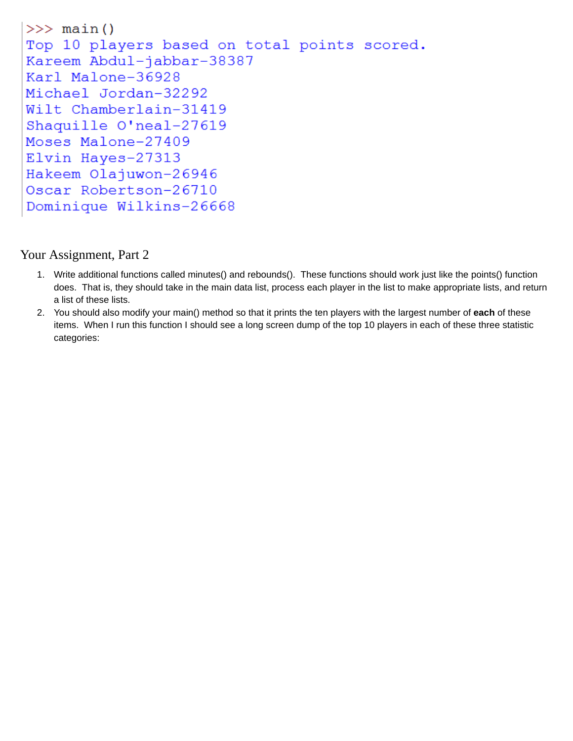```
\gg main()
Top 10 players based on total points scored.
Kareem Abdul-jabbar-38387
Karl Malone-36928
Michael Jordan-32292
Wilt Chamberlain-31419
Shaquille O'neal-27619
Moses Malone-27409
Elvin Hayes-27313
Hakeem Olajuwon-26946
Oscar Robertson-26710
Dominique Wilkins-26668
```
## Your Assignment, Part 2

- 1. Write additional functions called minutes() and rebounds(). These functions should work just like the points() function does. That is, they should take in the main data list, process each player in the list to make appropriate lists, and return a list of these lists.
- 2. You should also modify your main() method so that it prints the ten players with the largest number of **each** of these items. When I run this function I should see a long screen dump of the top 10 players in each of these three statistic categories: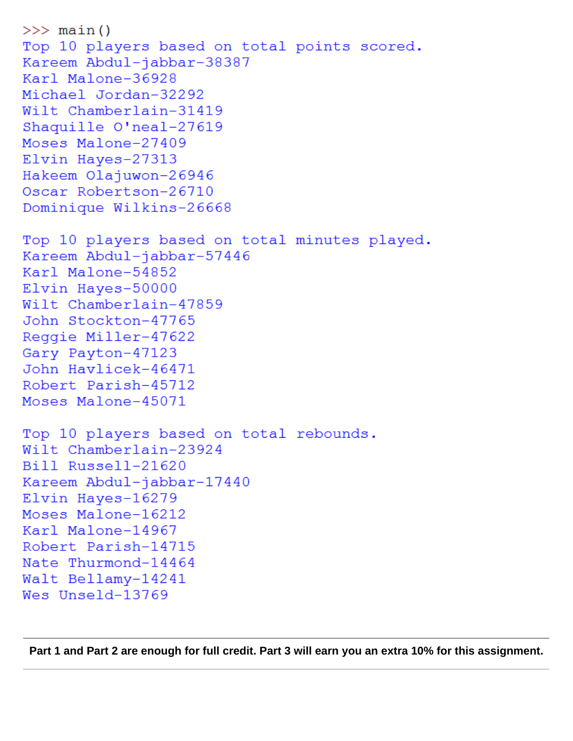```
>> main()
Top 10 players based on total points scored.
Kareem Abdul-jabbar-38387
Karl Malone-36928
Michael Jordan-32292
Wilt Chamberlain-31419
Shaquille O'neal-27619
Moses Malone-27409
Elvin Hayes-27313
Hakeem Olajuwon-26946
Oscar Robertson-26710
Dominique Wilkins-26668
Top 10 players based on total minutes played.
Kareem Abdul-jabbar-57446
Karl Malone-54852
Elvin Hayes-50000
Wilt Chamberlain-47859
John Stockton-47765
Reqqie Miller-47622
Gary Payton-47123
John Havlicek-46471
Robert Parish-45712
Moses Malone-45071
Top 10 players based on total rebounds.
Wilt Chamberlain-23924
Bill Russell-21620
Kareem Abdul-jabbar-17440
Elvin Hayes-16279
Moses Malone-16212
Karl Malone-14967
Robert Parish-14715
Nate Thurmond-14464
Walt Bellamy-14241
Wes Unseld-13769
```
**Part 1 and Part 2 are enough for full credit. Part 3 will earn you an extra 10% for this assignment.**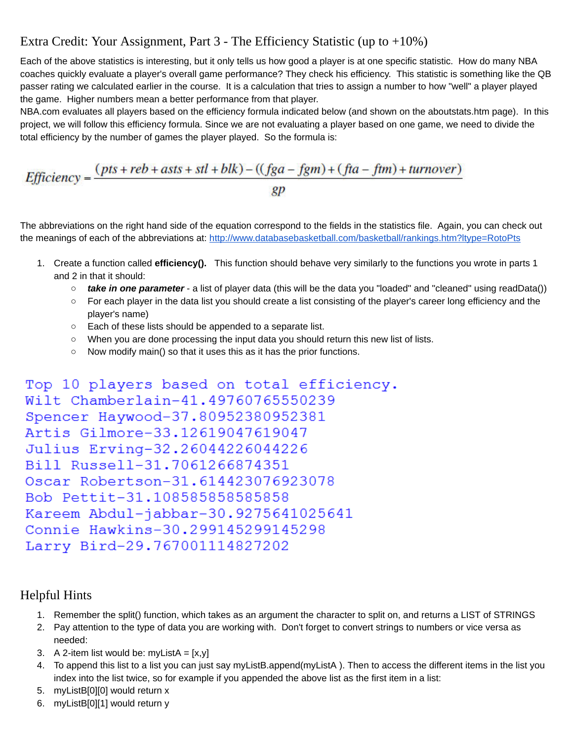# Extra Credit: Your Assignment, Part 3 - The Efficiency Statistic (up to +10%)

Each of the above statistics is interesting, but it only tells us how good a player is at one specific statistic. How do many NBA coaches quickly evaluate a player's overall game performance? They check his efficiency. This statistic is something like the QB passer rating we calculated earlier in the course. It is a calculation that tries to assign a number to how "well" a player played the game. Higher numbers mean a better performance from that player.

NBA.com evaluates all players based on the efficiency formula indicated below (and shown on the aboutstats.htm page). In this project, we will follow this efficiency formula. Since we are not evaluating a player based on one game, we need to divide the total efficiency by the number of games the player played. So the formula is:

$$
Efficiency = \frac{(pts + reb + asts + stl + blk) - ((fga - fgm) + (fta - ftm) + turnover)}{gp}
$$

The abbreviations on the right hand side of the equation correspond to the fields in the statistics file. Again, you can check out the meanings of each of the abbreviations at: <http://www.databasebasketball.com/basketball/rankings.htm?ltype=RotoPts>

- 1. Create a function called **efficiency().** This function should behave very similarly to the functions you wrote in parts 1 and 2 in that it should:
	- *take in one parameter* a list of player data (this will be the data you "loaded" and "cleaned" using readData())
	- For each player in the data list you should create a list consisting of the player's career long efficiency and the player's name)
	- Each of these lists should be appended to a separate list.
	- When you are done processing the input data you should return this new list of lists.
	- Now modify main() so that it uses this as it has the prior functions.

```
Top 10 players based on total efficiency.
Wilt Chamberlain-41.49760765550239
Spencer Haywood-37.80952380952381
Artis Gilmore-33.12619047619047
Julius Erving-32.26044226044226
Bill Russell-31.7061266874351
Oscar Robertson-31.614423076923078
Bob Pettit-31.108585858585858
Kareem Abdul-jabbar-30.9275641025641
Connie Hawkins-30.299145299145298
Larry Bird-29.767001114827202
```
### Helpful Hints

- 1. Remember the split() function, which takes as an argument the character to split on, and returns a LIST of STRINGS
- 2. Pay attention to the type of data you are working with. Don't forget to convert strings to numbers or vice versa as needed:
- 3. A 2-item list would be: myListA =  $[x,y]$
- 4. To append this list to a list you can just say myListB.append(myListA ). Then to access the different items in the list you index into the list twice, so for example if you appended the above list as the first item in a list:
- 5. myListB[0][0] would return x
- 6. myListB[0][1] would return y